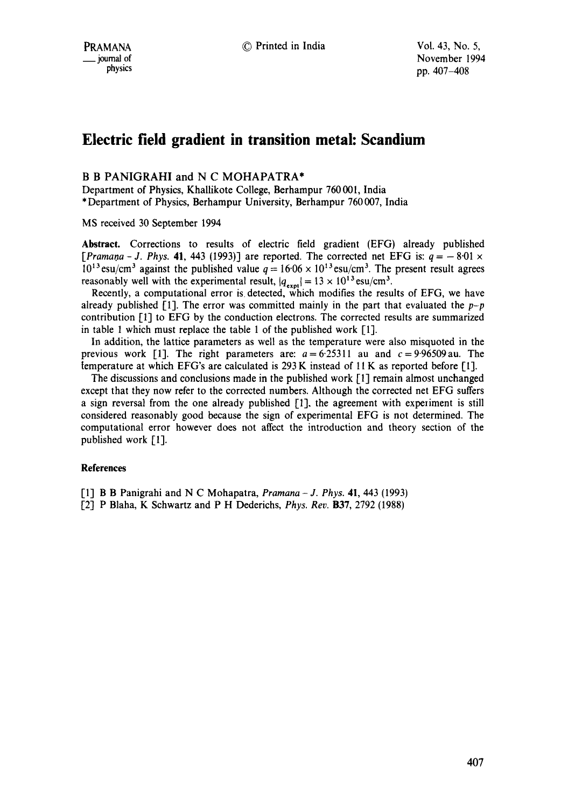## **Electric field gradient in transition metal: Scandium**

## B B PANIGRAHI and N C MOHAPATRA\*

Department of Physics, Khallikote College, Berhampur 760001, India \* Department of Physics, Berhampur University, Berhampur 760 007, India

MS received 30 September 1994

**Abstract.** Corrections to results of electric field gradient (EFG) already published *[Pramana - J. Phys.* 41, 443 (1993)] are reported. The corrected net EFG is:  $q = -8.01 \times$ 10<sup>13</sup> esu/cm<sup>3</sup> against the published value  $q = 16.06 \times 10^{13}$  esu/cm<sup>3</sup>. The present result agrees reasonably well with the experimental result,  $|q_{\text{exm}}| = 13 \times 10^{13} \text{ esu/cm}^3$ .

Recently, a computational error is. detected, which modifies the results of EFG, we have already published [1]. The error was committed mainly in the part that evaluated the  $p-p$ contribution [1] to EFG by the conduction electrons. The corrected results are summarized in table 1 which must replace the table 1 of the published work [1].

In addition, the lattice parameters as well as the temperature were also misquoted in the previous work [1]. The right parameters are:  $a = 6.25311$  au and  $c = 9.96509$  au. The [emperature at which EFG's are calculated is 293 K instead of 11 K as reported before [1].

The discussions and conclusions made in the published work [1] remain almost unchanged except that they now refer to the corrected numbers. Although the corrected net EFG suffers a sign reversal from the one already published  $[1]$ , the agreement with experiment is still considered reasonably good because the sign of experimental EFG is not determined. The computational error however does not affect the introduction and theory section of the published work [1].

## **References**

[1] B B Panigrahi and N C Mohapatra, *Pramana- J. Phys.* 41, 443 (1993)

[2] P Blaha, K Schwartz and P H Dederichs, *Phys. Rev.* B37, 2792 (1988)